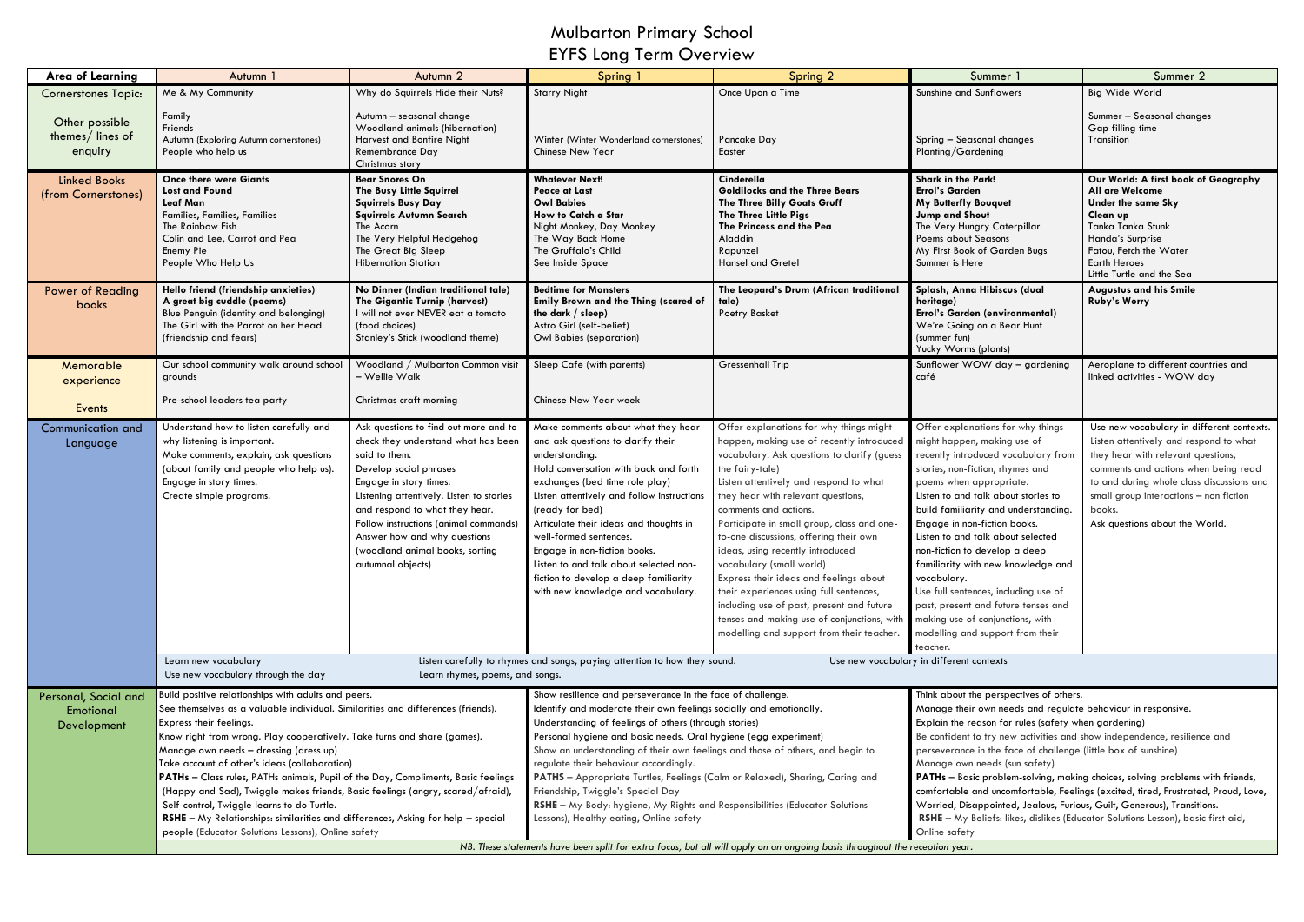## Mulbarton Primary School EYFS Long Term Overview

| <b>Area of Learning</b>                          | Autumn 1                                                                                                                                                                                                                                                                                                                                               | Autumn <sub>2</sub>                                                                                                                                                                                                                                                                                                                                              | Spring 1                                                                                                                                                                                                                                                                                                                                                                                                                                                            | Spring 2                                                                                                                                                                                                                                                                                                                                                                                                                                                                                                                                                                                                                                              | Summer                                                                                                                                                                                                                                                                                                                                                                                                                                                                                                                                                                              | Summer 2                                                                                                                                                                                                                                                                                               |  |
|--------------------------------------------------|--------------------------------------------------------------------------------------------------------------------------------------------------------------------------------------------------------------------------------------------------------------------------------------------------------------------------------------------------------|------------------------------------------------------------------------------------------------------------------------------------------------------------------------------------------------------------------------------------------------------------------------------------------------------------------------------------------------------------------|---------------------------------------------------------------------------------------------------------------------------------------------------------------------------------------------------------------------------------------------------------------------------------------------------------------------------------------------------------------------------------------------------------------------------------------------------------------------|-------------------------------------------------------------------------------------------------------------------------------------------------------------------------------------------------------------------------------------------------------------------------------------------------------------------------------------------------------------------------------------------------------------------------------------------------------------------------------------------------------------------------------------------------------------------------------------------------------------------------------------------------------|-------------------------------------------------------------------------------------------------------------------------------------------------------------------------------------------------------------------------------------------------------------------------------------------------------------------------------------------------------------------------------------------------------------------------------------------------------------------------------------------------------------------------------------------------------------------------------------|--------------------------------------------------------------------------------------------------------------------------------------------------------------------------------------------------------------------------------------------------------------------------------------------------------|--|
| <b>Cornerstones Topic:</b>                       | Me & My Community                                                                                                                                                                                                                                                                                                                                      | Why do Squirrels Hide their Nuts?                                                                                                                                                                                                                                                                                                                                | <b>Starry Night</b>                                                                                                                                                                                                                                                                                                                                                                                                                                                 | Once Upon a Time                                                                                                                                                                                                                                                                                                                                                                                                                                                                                                                                                                                                                                      | Sunshine and Sunflowers                                                                                                                                                                                                                                                                                                                                                                                                                                                                                                                                                             | Big Wide World                                                                                                                                                                                                                                                                                         |  |
| Other possible<br>themes/ lines of<br>enquiry    | Family<br>Friends<br>Autumn (Exploring Autumn cornerstones)<br>People who help us                                                                                                                                                                                                                                                                      | Autumn - seasonal change<br>Woodland animals (hibernation)<br>Harvest and Bonfire Night<br>Remembrance Day                                                                                                                                                                                                                                                       | Winter (Winter Wonderland cornerstones)<br><b>Chinese New Year</b>                                                                                                                                                                                                                                                                                                                                                                                                  | Pancake Day<br>Easter                                                                                                                                                                                                                                                                                                                                                                                                                                                                                                                                                                                                                                 | Spring - Seasonal changes<br>Planting/Gardening                                                                                                                                                                                                                                                                                                                                                                                                                                                                                                                                     | Summer - Seasonal changes<br>Gap filling time<br>Transition                                                                                                                                                                                                                                            |  |
|                                                  |                                                                                                                                                                                                                                                                                                                                                        | Christmas story                                                                                                                                                                                                                                                                                                                                                  |                                                                                                                                                                                                                                                                                                                                                                                                                                                                     |                                                                                                                                                                                                                                                                                                                                                                                                                                                                                                                                                                                                                                                       |                                                                                                                                                                                                                                                                                                                                                                                                                                                                                                                                                                                     |                                                                                                                                                                                                                                                                                                        |  |
| <b>Linked Books</b><br>(from Cornerstones)       | <b>Once there were Giants</b><br><b>Lost and Found</b><br>Leaf Man<br>Families, Families, Families<br>The Rainbow Fish<br>Colin and Lee, Carrot and Pea<br>Enemy Pie<br>People Who Help Us                                                                                                                                                             | <b>Bear Snores On</b><br>The Busy Little Squirrel<br><b>Squirrels Busy Day</b><br>Squirrels Autumn Search<br>The Acorn<br>The Very Helpful Hedgehog<br>The Great Big Sleep<br><b>Hibernation Station</b>                                                                                                                                                         | <b>Whatever Next!</b><br><b>Peace at Last</b><br><b>Owl Babies</b><br>How to Catch a Star<br>Night Monkey, Day Monkey<br>The Way Back Home<br>The Gruffalo's Child<br>See Inside Space                                                                                                                                                                                                                                                                              | Cinderella<br><b>Goldilocks and the Three Bears</b><br>The Three Billy Goats Gruff<br>The Three Little Pigs<br>The Princess and the Pea<br>Aladdin<br>Rapunzel<br><b>Hansel and Gretel</b>                                                                                                                                                                                                                                                                                                                                                                                                                                                            | <b>Shark in the Park!</b><br><b>Errol's Garden</b><br><b>My Butterfly Bouquet</b><br><b>Jump and Shout</b><br>The Very Hungry Caterpillar<br>Poems about Seasons<br>My First Book of Garden Bugs<br>Summer is Here                                                                                                                                                                                                                                                                                                                                                                  | Our World: A first book of Geography<br>All are Welcome<br><b>Under the same Sky</b><br>Clean up<br>Tanka Tanka Stunk<br>Handa's Surprise<br>Fatou, Fetch the Water<br><b>Earth Heroes</b><br>Little Turtle and the Sea                                                                                |  |
| <b>Power of Reading</b><br>books                 | Hello friend (friendship anxieties)<br>A great big cuddle (poems)<br>Blue Penguin (identity and belonging)<br>The Girl with the Parrot on her Head<br>(friendship and fears)                                                                                                                                                                           | No Dinner (Indian traditional tale)<br>The Gigantic Turnip (harvest)<br>I will not ever NEVER eat a tomato<br>(food choices)<br>Stanley's Stick (woodland theme)                                                                                                                                                                                                 | <b>Bedtime for Monsters</b><br>Emily Brown and the Thing (scared of<br>the dark / sleep)<br>Astro Girl (self-belief)<br>Owl Babies (separation)                                                                                                                                                                                                                                                                                                                     | The Leopard's Drum (African traditional<br>tale)<br>Poetry Basket                                                                                                                                                                                                                                                                                                                                                                                                                                                                                                                                                                                     | Splash, Anna Hibiscus (dual<br>heritage)<br>Errol's Garden (environmental)<br>We're Going on a Bear Hunt<br>(summer fun)<br>Yucky Worms (plants)                                                                                                                                                                                                                                                                                                                                                                                                                                    | <b>Augustus and his Smile</b><br><b>Ruby's Worry</b>                                                                                                                                                                                                                                                   |  |
| Memorable<br>experience                          | Our school community walk around school<br>grounds                                                                                                                                                                                                                                                                                                     | Woodland / Mulbarton Common visit<br>- Wellie Walk                                                                                                                                                                                                                                                                                                               | Sleep Cafe (with parents)                                                                                                                                                                                                                                                                                                                                                                                                                                           | <b>Gressenhall Trip</b>                                                                                                                                                                                                                                                                                                                                                                                                                                                                                                                                                                                                                               | Sunflower WOW day - gardening<br>café                                                                                                                                                                                                                                                                                                                                                                                                                                                                                                                                               | Aeroplane to different countries and<br>linked activities - WOW day                                                                                                                                                                                                                                    |  |
| Events                                           | Pre-school leaders tea party                                                                                                                                                                                                                                                                                                                           | Christmas craft morning                                                                                                                                                                                                                                                                                                                                          | Chinese New Year week                                                                                                                                                                                                                                                                                                                                                                                                                                               |                                                                                                                                                                                                                                                                                                                                                                                                                                                                                                                                                                                                                                                       |                                                                                                                                                                                                                                                                                                                                                                                                                                                                                                                                                                                     |                                                                                                                                                                                                                                                                                                        |  |
| Communication and<br>Language                    | Understand how to listen carefully and<br>why listening is important.<br>Make comments, explain, ask questions<br>(about family and people who help us).<br>Engage in story times.<br>Create simple programs.                                                                                                                                          | Ask questions to find out more and to<br>check they understand what has been<br>said to them.<br>Develop social phrases<br>Engage in story times.<br>Listening attentively. Listen to stories<br>and respond to what they hear.<br>Follow instructions (animal commands)<br>Answer how and why questions<br>(woodland animal books, sorting<br>autumnal objects) | Make comments about what they hear<br>and ask questions to clarify their<br>understanding.<br>Hold conversation with back and forth<br>exchanges (bed time role play)<br>Listen attentively and follow instructions<br>(ready for bed)<br>Articulate their ideas and thoughts in<br>well-formed sentences.<br>Engage in non-fiction books.<br>Listen to and talk about selected non-<br>fiction to develop a deep familiarity<br>with new knowledge and vocabulary. | Offer explanations for why things might<br>happen, making use of recently introduced<br>vocabulary. Ask questions to clarify (guess<br>the fairy-tale)<br>Listen attentively and respond to what<br>they hear with relevant questions,<br>comments and actions.<br>Participate in small group, class and one-<br>to-one discussions, offering their own<br>ideas, using recently introduced<br>vocabulary (small world)<br>Express their ideas and feelings about<br>their experiences using full sentences,<br>including use of past, present and future<br>tenses and making use of conjunctions, with<br>modelling and support from their teacher. | Offer explanations for why things<br>might happen, making use of<br>recently introduced vocabulary from<br>stories, non-fiction, rhymes and<br>poems when appropriate.<br>Listen to and talk about stories to<br>build familiarity and understanding.<br>Engage in non-fiction books.<br>Listen to and talk about selected<br>non-fiction to develop a deep<br>familiarity with new knowledge and<br>vocabulary.<br>Use full sentences, including use of<br>past, present and future tenses and<br>making use of conjunctions, with<br>modelling and support from their<br>teacher. | Use new vocabulary in different contexts.<br>Listen attentively and respond to what<br>they hear with relevant questions,<br>comments and actions when being read<br>to and during whole class discussions and<br>small group interactions $-$ non fiction<br>books.<br>Ask questions about the World. |  |
|                                                  | Use new vocabulary in different contexts<br>Listen carefully to rhymes and songs, paying attention to how they sound.<br>Learn new vocabulary<br>Use new vocabulary through the day<br>Learn rhymes, poems, and songs.                                                                                                                                 |                                                                                                                                                                                                                                                                                                                                                                  |                                                                                                                                                                                                                                                                                                                                                                                                                                                                     |                                                                                                                                                                                                                                                                                                                                                                                                                                                                                                                                                                                                                                                       |                                                                                                                                                                                                                                                                                                                                                                                                                                                                                                                                                                                     |                                                                                                                                                                                                                                                                                                        |  |
| Personal, Social and<br>Emotional<br>Development | Build positive relationships with adults and peers.<br>See themselves as a valuable individual. Similarities and differences (friends).<br>Express their feelings.<br>Know right from wrong. Play cooperatively. Take turns and share (games).<br>Manage own needs - dressing (dress up)                                                               |                                                                                                                                                                                                                                                                                                                                                                  | Show resilience and perseverance in the face of challenge.<br>Identify and moderate their own feelings socially and emotionally.<br>Understanding of feelings of others (through stories)<br>Personal hygiene and basic needs. Oral hygiene (egg experiment)<br>Show an understanding of their own feelings and those of others, and begin to<br>regulate their behaviour accordingly.                                                                              |                                                                                                                                                                                                                                                                                                                                                                                                                                                                                                                                                                                                                                                       | Think about the perspectives of others.<br>Manage their own needs and regulate behaviour in responsive.<br>Explain the reason for rules (safety when gardening)                                                                                                                                                                                                                                                                                                                                                                                                                     |                                                                                                                                                                                                                                                                                                        |  |
|                                                  |                                                                                                                                                                                                                                                                                                                                                        |                                                                                                                                                                                                                                                                                                                                                                  |                                                                                                                                                                                                                                                                                                                                                                                                                                                                     |                                                                                                                                                                                                                                                                                                                                                                                                                                                                                                                                                                                                                                                       | Be confident to try new activities and show independence, resilience and<br>perseverance in the face of challenge (little box of sunshine)<br>Manage own needs (sun safety)                                                                                                                                                                                                                                                                                                                                                                                                         |                                                                                                                                                                                                                                                                                                        |  |
|                                                  | Take account of other's ideas (collaboration)<br>PATHs - Class rules, PATHs animals, Pupil of the Day, Compliments, Basic feelings<br>(Happy and Sad), Twiggle makes friends, Basic feelings (angry, scared/afraid),<br>Self-control, Twiggle learns to do Turtle.<br>RSHE - My Relationships: similarities and differences, Asking for help - special |                                                                                                                                                                                                                                                                                                                                                                  | PATHS - Appropriate Turtles, Feelings (Calm or Relaxed), Sharing, Caring and<br>Friendship, Twiggle's Special Day<br>RSHE - My Body: hygiene, My Rights and Responsibilities (Educator Solutions<br>Lessons), Healthy eating, Online safety                                                                                                                                                                                                                         |                                                                                                                                                                                                                                                                                                                                                                                                                                                                                                                                                                                                                                                       | PATHs - Basic problem-solving, making choices, solving problems with friends,<br>comfortable and uncomfortable, Feelings (excited, tired, Frustrated, Proud, Love,<br>Worried, Disappointed, Jealous, Furious, Guilt, Generous), Transitions.<br>RSHE - My Beliefs: likes, dislikes (Educator Solutions Lesson), basic first aid,                                                                                                                                                                                                                                                   |                                                                                                                                                                                                                                                                                                        |  |
|                                                  | people (Educator Solutions Lessons), Online safety<br>Online safety                                                                                                                                                                                                                                                                                    |                                                                                                                                                                                                                                                                                                                                                                  |                                                                                                                                                                                                                                                                                                                                                                                                                                                                     |                                                                                                                                                                                                                                                                                                                                                                                                                                                                                                                                                                                                                                                       |                                                                                                                                                                                                                                                                                                                                                                                                                                                                                                                                                                                     |                                                                                                                                                                                                                                                                                                        |  |
|                                                  | NB. These statements have been split for extra focus, but all will apply on an ongoing basis throughout the reception year.                                                                                                                                                                                                                            |                                                                                                                                                                                                                                                                                                                                                                  |                                                                                                                                                                                                                                                                                                                                                                                                                                                                     |                                                                                                                                                                                                                                                                                                                                                                                                                                                                                                                                                                                                                                                       |                                                                                                                                                                                                                                                                                                                                                                                                                                                                                                                                                                                     |                                                                                                                                                                                                                                                                                                        |  |

- 
-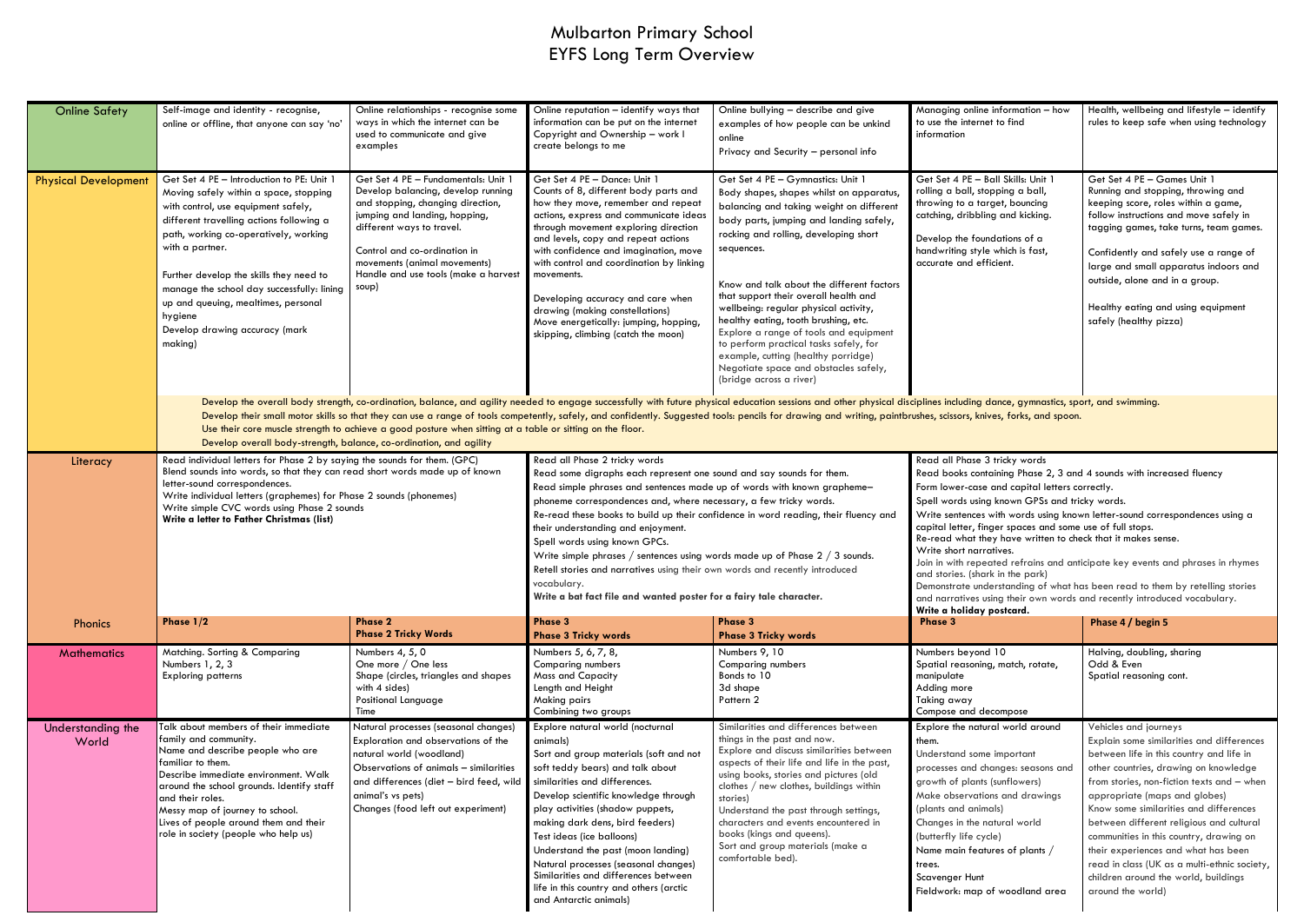### Mulbarton Primary School EYFS Long Term Overview

| <b>Online Safety</b>        | Self-image and identity - recognise,<br>online or offline, that anyone can say 'no'                                                                                                                                                                                                                                                                                                                                                                                                                                                                                                                                                  | Online relationships - recognise some<br>ways in which the internet can be<br>used to communicate and give<br>examples                                                                                                                                                                        | Online reputation - identify ways that<br>information can be put on the internet<br>Copyright and Ownership - work I<br>create belongs to me                                                                                                                                                                                                                                                                                                                                                                                                                                                                                                                                | Online bullying - describe and give<br>examples of how people can be unkind<br>online<br>Privacy and Security - personal info                                                                                                                                                                                                                                                                                                                                                                                                                                                                     | Managing online information - how<br>to use the internet to find<br>information                                                                                                                                                                                                                                                                                                                                                                                                                                                                                                                                                                                                                                                    | Health, wellbeing and lifestyle - identify<br>rules to keep safe when using technology                                                                                                                                                                                                                                                                                                                                                                                                                                      |  |
|-----------------------------|--------------------------------------------------------------------------------------------------------------------------------------------------------------------------------------------------------------------------------------------------------------------------------------------------------------------------------------------------------------------------------------------------------------------------------------------------------------------------------------------------------------------------------------------------------------------------------------------------------------------------------------|-----------------------------------------------------------------------------------------------------------------------------------------------------------------------------------------------------------------------------------------------------------------------------------------------|-----------------------------------------------------------------------------------------------------------------------------------------------------------------------------------------------------------------------------------------------------------------------------------------------------------------------------------------------------------------------------------------------------------------------------------------------------------------------------------------------------------------------------------------------------------------------------------------------------------------------------------------------------------------------------|---------------------------------------------------------------------------------------------------------------------------------------------------------------------------------------------------------------------------------------------------------------------------------------------------------------------------------------------------------------------------------------------------------------------------------------------------------------------------------------------------------------------------------------------------------------------------------------------------|------------------------------------------------------------------------------------------------------------------------------------------------------------------------------------------------------------------------------------------------------------------------------------------------------------------------------------------------------------------------------------------------------------------------------------------------------------------------------------------------------------------------------------------------------------------------------------------------------------------------------------------------------------------------------------------------------------------------------------|-----------------------------------------------------------------------------------------------------------------------------------------------------------------------------------------------------------------------------------------------------------------------------------------------------------------------------------------------------------------------------------------------------------------------------------------------------------------------------------------------------------------------------|--|
| <b>Physical Development</b> | Get Set 4 PE - Introduction to PE: Unit 1<br>Moving safely within a space, stopping<br>with control, use equipment safely,<br>different travelling actions following a<br>path, working co-operatively, working<br>with a partner.<br>Further develop the skills they need to<br>manage the school day successfully: lining<br>up and queuing, mealtimes, personal<br>hygiene<br>Develop drawing accuracy (mark<br>making)                                                                                                                                                                                                           | Get Set 4 PE - Fundamentals: Unit 1<br>Develop balancing, develop running<br>and stopping, changing direction,<br>jumping and landing, hopping,<br>different ways to travel.<br>Control and co-ordination in<br>movements (animal movements)<br>Handle and use tools (make a harvest<br>soup) | Get Set 4 PE - Dance: Unit 1<br>Counts of 8, different body parts and<br>how they move, remember and repeat<br>actions, express and communicate ideas<br>through movement exploring direction<br>and levels, copy and repeat actions<br>with confidence and imagination, move<br>with control and coordination by linking<br>movements.<br>Developing accuracy and care when<br>drawing (making constellations)<br>Move energetically: jumping, hopping,<br>skipping, climbing (catch the moon)                                                                                                                                                                             | Get Set 4 PE - Gymnastics: Unit 1<br>Body shapes, shapes whilst on apparatus,<br>balancing and taking weight on different<br>body parts, jumping and landing safely,<br>rocking and rolling, developing short<br>sequences.<br>Know and talk about the different factors<br>that support their overall health and<br>wellbeing: regular physical activity,<br>healthy eating, tooth brushing, etc.<br>Explore a range of tools and equipment<br>to perform practical tasks safely, for<br>example, cutting (healthy porridge)<br>Negotiate space and obstacles safely,<br>(bridge across a river) | Get Set 4 PE - Ball Skills: Unit 1<br>rolling a ball, stopping a ball,<br>throwing to a target, bouncing<br>catching, dribbling and kicking.<br>Develop the foundations of a<br>handwriting style which is fast,<br>accurate and efficient.                                                                                                                                                                                                                                                                                                                                                                                                                                                                                        | Get Set 4 PE - Games Unit 1<br>Running and stopping, throwing and<br>keeping score, roles within a game,<br>follow instructions and move safely in<br>tagging games, take turns, team games.<br>Confidently and safely use a range of<br>large and small apparatus indoors and<br>outside, alone and in a group.<br>Healthy eating and using equipment<br>safely (healthy pizza)                                                                                                                                            |  |
|                             | Develop the overall body strength, co-ordination, balance, and agility needed to engage successfully with future physical education sessions and other physical disciplines including dance, gymnastics, sport, and swimming.<br>Develop their small motor skills so that they can use a range of tools competently, safely, and confidently. Suggested tools: pencils for drawing and writing, paintbrushes, scissors, knives, forks, and spoon.<br>Use their core muscle strength to achieve a good posture when sitting at a table or sitting on the floor.<br>Develop overall body-strength, balance, co-ordination, and agility |                                                                                                                                                                                                                                                                                               |                                                                                                                                                                                                                                                                                                                                                                                                                                                                                                                                                                                                                                                                             |                                                                                                                                                                                                                                                                                                                                                                                                                                                                                                                                                                                                   |                                                                                                                                                                                                                                                                                                                                                                                                                                                                                                                                                                                                                                                                                                                                    |                                                                                                                                                                                                                                                                                                                                                                                                                                                                                                                             |  |
| Literacy                    | Read individual letters for Phase 2 by saying the sounds for them. (GPC)<br>Blend sounds into words, so that they can read short words made up of known<br>letter-sound correspondences.<br>Write individual letters (graphemes) for Phase 2 sounds (phonemes)<br>Write simple CVC words using Phase 2 sounds<br>Write a letter to Father Christmas (list)                                                                                                                                                                                                                                                                           |                                                                                                                                                                                                                                                                                               | Read all Phase 2 tricky words<br>Read some digraphs each represent one sound and say sounds for them.<br>Read simple phrases and sentences made up of words with known grapheme-<br>phoneme correspondences and, where necessary, a few tricky words.<br>Re-read these books to build up their confidence in word reading, their fluency and<br>their understanding and enjoyment.<br>Spell words using known GPCs.<br>Write simple phrases / sentences using words made up of Phase $2$ / $3$ sounds.<br>Retell stories and narratives using their own words and recently introduced<br>vocabulary.<br>Write a bat fact file and wanted poster for a fairy tale character. |                                                                                                                                                                                                                                                                                                                                                                                                                                                                                                                                                                                                   | Read all Phase 3 tricky words<br>Read books containing Phase 2, 3 and 4 sounds with increased fluency<br>Form lower-case and capital letters correctly.<br>Spell words using known GPSs and tricky words.<br>Write sentences with words using known letter-sound correspondences using a<br>capital letter, finger spaces and some use of full stops.<br>Re-read what they have written to check that it makes sense.<br>Write short narratives.<br>Join in with repeated refrains and anticipate key events and phrases in rhymes<br>and stories. (shark in the park)<br>Demonstrate understanding of what has been read to them by retelling stories<br>and narratives using their own words and recently introduced vocabulary. |                                                                                                                                                                                                                                                                                                                                                                                                                                                                                                                             |  |
| Phonics                     | Phase $1/2$                                                                                                                                                                                                                                                                                                                                                                                                                                                                                                                                                                                                                          | <b>Phase 2</b><br><b>Phase 2 Tricky Words</b>                                                                                                                                                                                                                                                 | <b>Phase 3</b><br><b>Phase 3 Tricky words</b>                                                                                                                                                                                                                                                                                                                                                                                                                                                                                                                                                                                                                               | Phase 3<br><b>Phase 3 Tricky words</b>                                                                                                                                                                                                                                                                                                                                                                                                                                                                                                                                                            | Write a holiday postcard.<br>Phase 3                                                                                                                                                                                                                                                                                                                                                                                                                                                                                                                                                                                                                                                                                               | Phase 4 / begin 5                                                                                                                                                                                                                                                                                                                                                                                                                                                                                                           |  |
| <b>Mathematics</b>          | Matching. Sorting & Comparing<br>Numbers 1, 2, 3<br><b>Exploring patterns</b>                                                                                                                                                                                                                                                                                                                                                                                                                                                                                                                                                        | Numbers 4, 5, 0<br>One more / One less<br>Shape (circles, triangles and shapes<br>with 4 sides)<br>Positional Language<br>Time                                                                                                                                                                | Numbers 5, 6, 7, 8,<br><b>Comparing numbers</b><br><b>Mass and Capacity</b><br>Length and Height<br>Making pairs<br>Combining two groups                                                                                                                                                                                                                                                                                                                                                                                                                                                                                                                                    | Numbers 9, 10<br><b>Comparing numbers</b><br>Bonds to 10<br>3d shape<br>Pattern 2                                                                                                                                                                                                                                                                                                                                                                                                                                                                                                                 | Numbers beyond 10<br>Spatial reasoning, match, rotate,<br>manipulate<br>Adding more<br>Taking away<br>Compose and decompose                                                                                                                                                                                                                                                                                                                                                                                                                                                                                                                                                                                                        | Halving, doubling, sharing<br>Odd & Even<br>Spatial reasoning cont.                                                                                                                                                                                                                                                                                                                                                                                                                                                         |  |
| Understanding the<br>World  | Talk about members of their immediate<br>family and community.<br>Name and describe people who are<br>familiar to them.<br>Describe immediate environment. Walk<br>around the school grounds. Identify staff<br>and their roles.<br>Messy map of journey to school.<br>Lives of people around them and their<br>role in society (people who help us)                                                                                                                                                                                                                                                                                 | Natural processes (seasonal changes)<br>Exploration and observations of the<br>natural world (woodland)<br>Observations of animals - similarities<br>and differences (diet - bird feed, wild<br>animal's vs pets)<br>Changes (food left out experiment)                                       | Explore natural world (nocturnal<br>animals)<br>Sort and group materials (soft and not<br>soft teddy bears) and talk about<br>similarities and differences.<br>Develop scientific knowledge through<br>play activities (shadow puppets,<br>making dark dens, bird feeders)<br>Test ideas (ice balloons)<br>Understand the past (moon landing)<br>Natural processes (seasonal changes)<br>Similarities and differences between<br>life in this country and others (arctic<br>and Antarctic animals)                                                                                                                                                                          | Similarities and differences between<br>things in the past and now.<br>Explore and discuss similarities between<br>aspects of their life and life in the past,<br>using books, stories and pictures (old<br>clothes / new clothes, buildings within<br>stories)<br>Understand the past through settings,<br>characters and events encountered in<br>books (kings and queens).<br>Sort and group materials (make a<br>comfortable bed).                                                                                                                                                            | Explore the natural world around<br>them.<br>Understand some important<br>processes and changes: seasons and<br>growth of plants (sunflowers)<br>Make observations and drawings<br>(plants and animals)<br>Changes in the natural world<br>(butterfly life cycle)<br>Name main features of plants /<br>trees.<br>Scavenger Hunt<br>Fieldwork: map of woodland area                                                                                                                                                                                                                                                                                                                                                                 | Vehicles and journeys<br>Explain some similarities and differences<br>between life in this country and life in<br>other countries, drawing on knowledge<br>from stories, non-fiction texts and - when<br>appropriate (maps and globes)<br>Know some similarities and differences<br>between different religious and cultural<br>communities in this country, drawing on<br>their experiences and what has been<br>read in class (UK as a multi-ethnic society,<br>children around the world, buildings<br>around the world) |  |